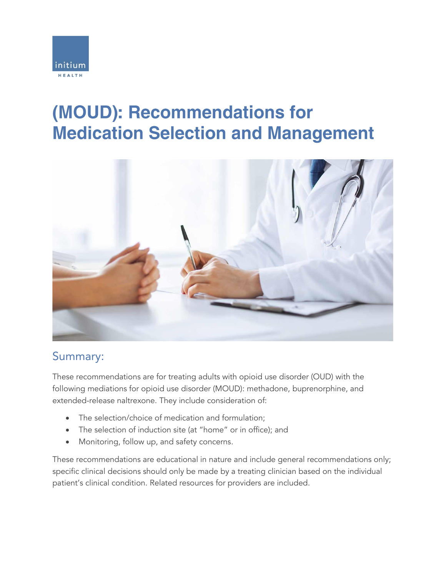

# (MOUD): Recommendations for **Medication Selection and Management**



## Summary:

These recommendations are for treating adults with opioid use disorder (OUD) with the following mediations for opioid use disorder (MOUD): methadone, buprenorphine, and extended-release naltrexone. They include consideration of:

- The selection/choice of medication and formulation;
- The selection of induction site (at "home" or in office); and
- Monitoring, follow up, and safety concerns.

These recommendations are educational in nature and include general recommendations only; specific clinical decisions should only be made by a treating clinician based on the individual patient's clinical condition. Related resources for providers are included.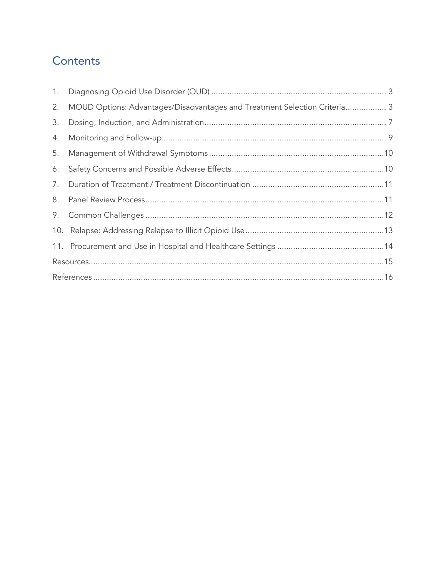## Contents

| MOUD Options: Advantages/Disadvantages and Treatment Selection Criteria 3 |
|---------------------------------------------------------------------------|
|                                                                           |
|                                                                           |
|                                                                           |
|                                                                           |
|                                                                           |
|                                                                           |
|                                                                           |
|                                                                           |
|                                                                           |
|                                                                           |
|                                                                           |
|                                                                           |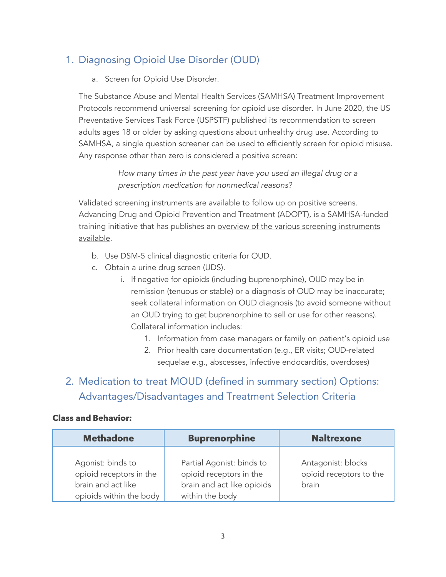## <span id="page-2-0"></span>1. Diagnosing Opioid Use Disorder (OUD)

a. Screen for Opioid Use Disorder.

The Substance Abuse and Mental Health Services (SAMHSA) Treatment Improvement Protocols recommend universal screening for opioid use disorder. In June 2020, the US Preventative Services Task Force (USPSTF) published its recommendation to screen adults ages 18 or older by asking questions about unhealthy drug use. According to SAMHSA, a single question screener can be used to efficiently screen for opioid misuse. Any response other than zero is considered a positive screen:

> *How many times in the past year have you used an illegal drug or a prescription medication for nonmedical reasons?*

Validated screening instruments are available to follow up on positive screens. Advancing Drug and Opioid Prevention and Treatment (ADOPT), is a SAMHSA-funded training initiative that has publishes an overview of the various screening instruments [available.](https://opioidpreventionandtreatment.ucsf.edu/sites/g/files/tkssra506/f/wysiwyg/ScreenersPamphlet_10_21_19%20.pdf)

- b. Use DSM-5 clinical diagnostic criteria for OUD.
- c. Obtain a urine drug screen (UDS).
	- i. If negative for opioids (including buprenorphine), OUD may be in remission (tenuous or stable) or a diagnosis of OUD may be inaccurate; seek collateral information on OUD diagnosis (to avoid someone without an OUD trying to get buprenorphine to sell or use for other reasons). Collateral information includes:
		- 1. Information from case managers or family on patient's opioid use
		- 2. Prior health care documentation (e.g., ER visits; OUD-related sequelae e.g., abscesses, infective endocarditis, overdoses)

## <span id="page-2-1"></span>2. Medication to treat MOUD (defined in summary section) Options: Advantages/Disadvantages and Treatment Selection Criteria

#### **Class and Behavior:**

| <b>Methadone</b>                                                                              | <b>Buprenorphine</b>                                                                                  | <b>Naltrexone</b>                                      |
|-----------------------------------------------------------------------------------------------|-------------------------------------------------------------------------------------------------------|--------------------------------------------------------|
| Agonist: binds to<br>opioid receptors in the<br>brain and act like<br>opioids within the body | Partial Agonist: binds to<br>opioid receptors in the<br>brain and act like opioids<br>within the body | Antagonist: blocks<br>opioid receptors to the<br>brain |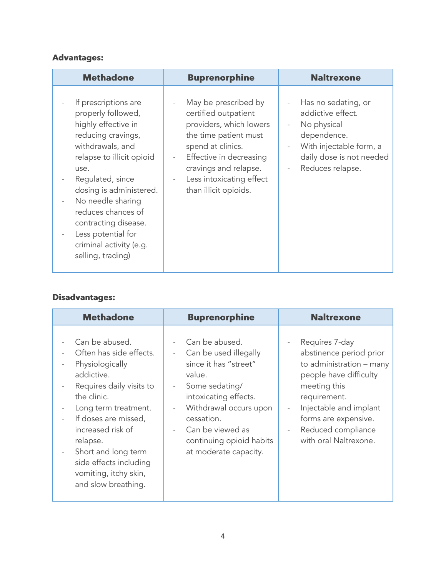#### **Advantages:**

| <b>Methadone</b>                                                                                                                                                                                                                                                                                                                         | <b>Buprenorphine</b>                                                                                                                                                                                                                                                                  | <b>Naltrexone</b>                                                                                                                                                             |
|------------------------------------------------------------------------------------------------------------------------------------------------------------------------------------------------------------------------------------------------------------------------------------------------------------------------------------------|---------------------------------------------------------------------------------------------------------------------------------------------------------------------------------------------------------------------------------------------------------------------------------------|-------------------------------------------------------------------------------------------------------------------------------------------------------------------------------|
| If prescriptions are<br>properly followed,<br>highly effective in<br>reducing cravings,<br>withdrawals, and<br>relapse to illicit opioid<br>use.<br>Regulated, since<br>dosing is administered.<br>No needle sharing<br>reduces chances of<br>contracting disease.<br>Less potential for<br>criminal activity (e.g.<br>selling, trading) | May be prescribed by<br>$\frac{1}{2}$<br>certified outpatient<br>providers, which lowers<br>the time patient must<br>spend at clinics.<br>Effective in decreasing<br>$\frac{1}{2}$<br>cravings and relapse.<br>Less intoxicating effect<br>$\qquad \qquad -$<br>than illicit opioids. | Has no sedating, or<br>addictive effect.<br>No physical<br>$\overline{\phantom{a}}$<br>dependence.<br>With injectable form, a<br>daily dose is not needed<br>Reduces relapse. |

#### **Disadvantages:**

| <b>Methadone</b>                                                                                                                                                                                                                                                                                                                    | <b>Buprenorphine</b>                                                                                                                                                                                                                                               | <b>Naltrexone</b>                                                                                                                                                                                                                |
|-------------------------------------------------------------------------------------------------------------------------------------------------------------------------------------------------------------------------------------------------------------------------------------------------------------------------------------|--------------------------------------------------------------------------------------------------------------------------------------------------------------------------------------------------------------------------------------------------------------------|----------------------------------------------------------------------------------------------------------------------------------------------------------------------------------------------------------------------------------|
| Can be abused.<br>Often has side effects.<br>Physiologically<br>addictive.<br>Requires daily visits to<br>$\overline{\phantom{a}}$<br>the clinic.<br>Long term treatment.<br>If doses are missed,<br>increased risk of<br>relapse.<br>Short and long term<br>side effects including<br>vomiting, itchy skin,<br>and slow breathing. | Can be abused.<br>Can be used illegally<br>since it has "street"<br>value.<br>Some sedating/<br>$\overline{\phantom{a}}$<br>intoxicating effects.<br>Withdrawal occurs upon<br>cessation.<br>Can be viewed as<br>continuing opioid habits<br>at moderate capacity. | Requires 7-day<br>abstinence period prior<br>to administration - many<br>people have difficulty<br>meeting this<br>requirement.<br>Injectable and implant<br>forms are expensive.<br>Reduced compliance<br>with oral Naltrexone. |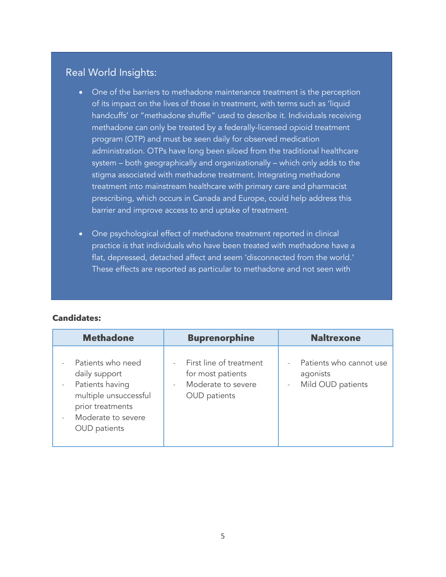## Real World Insights:

- One of the barriers to methadone maintenance treatment is the perception of its impact on the lives of those in treatment, with terms such as 'liquid handcuffs' or "methadone shuffle" used to describe it. Individuals receiving methadone can only be treated by a federally-licensed opioid treatment program (OTP) and must be seen daily for observed medication administration. OTPs have long been siloed from the traditional healthcare system – both geographically and organizationally – which only adds to the stigma associated with methadone treatment. Integrating methadone treatment into mainstream healthcare with primary care and pharmacist prescribing, which occurs in Canada and Europe, could help address this barrier and improve access to and uptake of treatment.
- One psychological effect of methadone treatment reported in clinical practice is that individuals who have been treated with methadone have a flat, depressed, detached affect and seem 'disconnected from the world.' These effects are reported as particular to methadone and not seen with

#### **Candidates:**

| <b>Methadone</b>                                                                                                                                | <b>Buprenorphine</b>                                                                                             | <b>Naltrexone</b>                                                                    |
|-------------------------------------------------------------------------------------------------------------------------------------------------|------------------------------------------------------------------------------------------------------------------|--------------------------------------------------------------------------------------|
| Patients who need<br>daily support<br>Patients having<br>multiple unsuccessful<br>prior treatments<br>Moderate to severe<br><b>OUD</b> patients | First line of treatment<br>for most patients<br>Moderate to severe<br>$\bar{\phantom{a}}$<br><b>OUD</b> patients | Patients who cannot use<br>agonists<br>Mild OUD patients<br>$\overline{\phantom{a}}$ |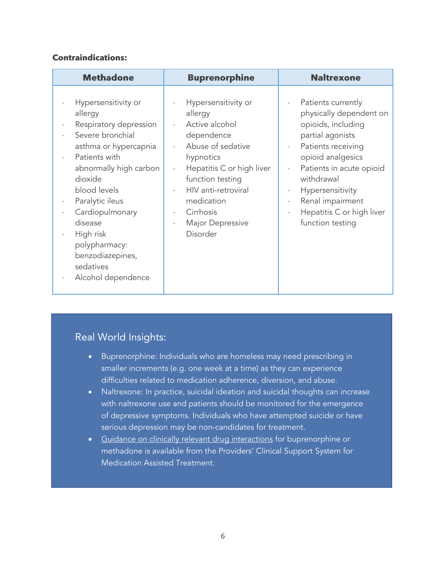#### **Contraindications:**

| <b>Methadone</b>                                                                                                                                                                                                                                                                                                  | <b>Buprenorphine</b>                                                                                                                                                                                                                                                                                                                     | <b>Naltrexone</b>                                                                                                                                                                                                                                                                                                                              |
|-------------------------------------------------------------------------------------------------------------------------------------------------------------------------------------------------------------------------------------------------------------------------------------------------------------------|------------------------------------------------------------------------------------------------------------------------------------------------------------------------------------------------------------------------------------------------------------------------------------------------------------------------------------------|------------------------------------------------------------------------------------------------------------------------------------------------------------------------------------------------------------------------------------------------------------------------------------------------------------------------------------------------|
| Hypersensitivity or<br>allergy<br>Respiratory depression<br>Severe bronchial<br>asthma or hypercapnia<br>Patients with<br>abnormally high carbon<br>dioxide<br>blood levels<br>Paralytic ileus<br>Cardiopulmonary<br>disease<br>High risk<br>polypharmacy:<br>benzodiazepines,<br>sedatives<br>Alcohol dependence | Hypersensitivity or<br>÷,<br>allergy<br>Active alcohol<br>$\frac{1}{2}$<br>dependence<br>Abuse of sedative<br>hypnotics<br>Hepatitis C or high liver<br>÷,<br>function testing<br>HIV anti-retroviral<br>$\bar{\phantom{a}}$<br>medication<br>Cirrhosis<br>$\qquad \qquad -$<br>Major Depressive<br>$\overline{\phantom{m}}$<br>Disorder | Patients currently<br>physically dependent on<br>opioids, including<br>partial agonists<br>Patients receiving<br>$\overline{\phantom{a}}$<br>opioid analgesics<br>Patients in acute opioid<br>withdrawal<br>Hypersensitivity<br>$\overline{\phantom{a}}$<br>Renal impairment<br>$\frac{1}{2}$<br>Hepatitis C or high liver<br>function testing |

## Real World Insights:

- Buprenorphine: Individuals who are homeless may need prescribing in smaller increments (e.g. one week at a time) as they can experience difficulties related to medication adherence, diversion, and abuse.
- Naltrexone: In practice, suicidal ideation and suicidal thoughts can increase with naltrexone use and patients should be monitored for the emergence of depressive symptoms. Individuals who have attempted suicide or have serious depression may be non-candidates for treatment.
- [Guidance on clinically relevant drug interactions](https://30qkon2g8eif8wrj03zeh041-wpengine.netdna-ssl.com/wp-content/uploads/2014/03/PCSSMAT-Clinically-Relevant-Drug-Interactions-Buprenorphine-or-Methadone-with-Other-Frequently-Prescribed-Drugs-9-24-101.pdf) for buprenorphine or methadone is available from the Providers' Clinical Support System for Medication Assisted Treatment.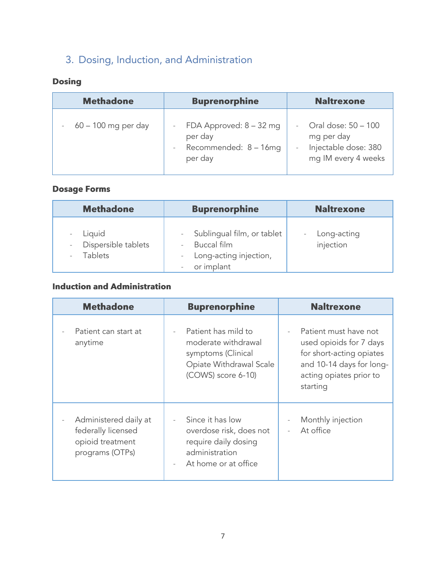## <span id="page-6-0"></span>3. Dosing, Induction, and Administration

## **Dosing**

| <b>Methadone</b>       | <b>Buprenorphine</b>                                                     | <b>Naltrexone</b>                                                                |
|------------------------|--------------------------------------------------------------------------|----------------------------------------------------------------------------------|
| $-60 - 100$ mg per day | FDA Approved: $8 - 32$ mg<br>per day<br>Recommended: 8 - 16mg<br>per day | Oral dose: 50 - 100<br>mg per day<br>Injectable dose: 380<br>mg IM every 4 weeks |

## **Dosage Forms**

| <b>Methadone</b>                                | <b>Buprenorphine</b>                                                              | <b>Naltrexone</b>        |
|-------------------------------------------------|-----------------------------------------------------------------------------------|--------------------------|
| Liquid<br>Dispersible tablets<br><b>Tablets</b> | Sublingual film, or tablet<br>Buccal film<br>Long-acting injection,<br>or implant | Long-acting<br>injection |

## **Induction and Administration**

| <b>Methadone</b>                                                                   | <b>Buprenorphine</b>                                                                                                       | <b>Naltrexone</b>                                                                                                                               |
|------------------------------------------------------------------------------------|----------------------------------------------------------------------------------------------------------------------------|-------------------------------------------------------------------------------------------------------------------------------------------------|
| Patient can start at<br>anytime                                                    | Patient has mild to<br>moderate withdrawal<br>symptoms (Clinical<br>Opiate Withdrawal Scale<br>(COWS) score 6-10)          | Patient must have not<br>used opioids for 7 days<br>for short-acting opiates<br>and 10-14 days for long-<br>acting opiates prior to<br>starting |
| Administered daily at<br>federally licensed<br>opioid treatment<br>programs (OTPs) | Since it has low<br>overdose risk, does not<br>require daily dosing<br>administration<br>At home or at office<br>$\bar{a}$ | Monthly injection<br>At office<br>$\sim$                                                                                                        |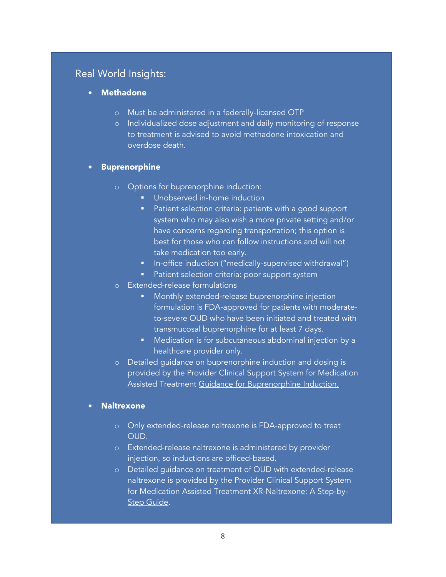## Real World Insights:

- **Methadone** 
	- o Must be administered in a federally-licensed OTP
	- o Individualized dose adjustment and daily monitoring of response to treatment is advised to avoid methadone intoxication and overdose death.

#### • **Buprenorphine**

- o Options for buprenorphine induction:
	- Unobserved in-home induction
	- Patient selection criteria: patients with a good support system who may also wish a more private setting and/or have concerns regarding transportation; this option is best for those who can follow instructions and will not take medication too early.
	- In-office induction ("medically-supervised withdrawal")
	- **·** Patient selection criteria: poor support system
- o Extended-release formulations
	- Monthly extended-release buprenorphine injection formulation is FDA-approved for patients with moderateto-severe OUD who have been initiated and treated with transmucosal buprenorphine for at least 7 days.
	- Medication is for subcutaneous abdominal injection by a healthcare provider only.
- o Detailed guidance on buprenorphine induction and dosing is provided by the Provider Clinical Support System for Medication Assisted Treatment [Guidance for Buprenorphine Induction.](https://30qkon2g8eif8wrj03zeh041-wpengine.netdna-ssl.com/wp-content/uploads/2014/02/PCSS-MATGuidanceBuprenorphineInduction.Casadonte.pdf)

#### • **Naltrexone**

- o Only extended-release naltrexone is FDA-approved to treat OUD.
- o Extended-release naltrexone is administered by provider injection, so inductions are officed-based.
- o Detailed guidance on treatment of OUD with extended-release naltrexone is provided by the Provider Clinical Support System for Medication Assisted Treatment [XR-Naltrexone: A Step-by-](https://indd.adobe.com/view/027eff2a-a0c6-4e52-bc8b-81f5b5b28cc1)[Step Guide.](https://indd.adobe.com/view/027eff2a-a0c6-4e52-bc8b-81f5b5b28cc1)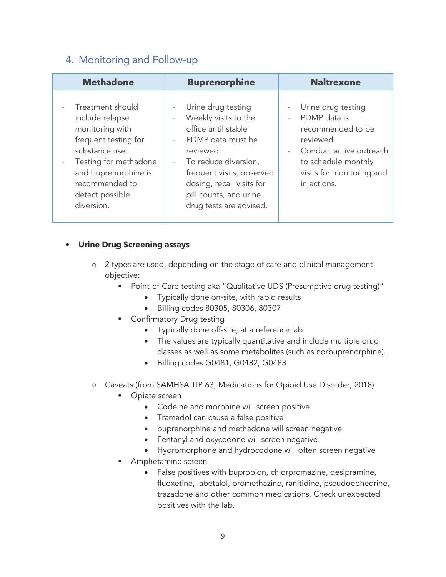## <span id="page-8-0"></span>4. Monitoring and Follow-up

| <b>Methadone</b>                                                                                                                                                                                                                 | <b>Buprenorphine</b>                                                                                                                                                                                                                                                                                                                    | <b>Naltrexone</b>                                                                                                                                                 |
|----------------------------------------------------------------------------------------------------------------------------------------------------------------------------------------------------------------------------------|-----------------------------------------------------------------------------------------------------------------------------------------------------------------------------------------------------------------------------------------------------------------------------------------------------------------------------------------|-------------------------------------------------------------------------------------------------------------------------------------------------------------------|
| Treatment should<br>include relapse<br>monitoring with<br>frequent testing for<br>substance use.<br>Testing for methadone<br>$\overline{\phantom{a}}$<br>and buprenorphine is<br>recommended to<br>detect possible<br>diversion. | Urine drug testing<br>$\overline{\phantom{a}}$<br>Weekly visits to the<br>$\overline{\phantom{a}}$<br>office until stable<br>PDMP data must be<br>$\sim$<br>reviewed<br>To reduce diversion,<br>$\overline{\phantom{a}}$<br>frequent visits, observed<br>dosing, recall visits for<br>pill counts, and urine<br>drug tests are advised. | Urine drug testing<br>PDMP data is<br>recommended to be<br>reviewed<br>Conduct active outreach<br>to schedule monthly<br>visits for monitoring and<br>injections. |

#### • Urine Drug Screening assays

- o 2 types are used, depending on the stage of care and clinical management objective:
	- Point-of-Care testing aka "Qualitative UDS (Presumptive drug testing)"
		- Typically done on-site, with rapid results
		- Billing codes 80305, 80306, 80307
	- **Confirmatory Drug testing** 
		- Typically done off-site, at a reference lab
		- The values are typically quantitative and include multiple drug classes as well as some metabolites (such as norbuprenorphine).
		- Billing codes G0481, G0482, G0483
- Caveats (from SAMHSA TIP 63, Medications for Opioid Use Disorder, 2018)
	- Opiate screen
		- Codeine and morphine will screen positive
		- Tramadol can cause a false positive
		- buprenorphine and methadone will screen negative
		- Fentanyl and oxycodone will screen negative
		- Hydromorphone and hydrocodone will often screen negative
	- Amphetamine screen
		- False positives with bupropion, chlorpromazine, desipramine, fluoxetine, labetalol, promethazine, ranitidine, pseudoephedrine, trazadone and other common medications. Check unexpected positives with the lab.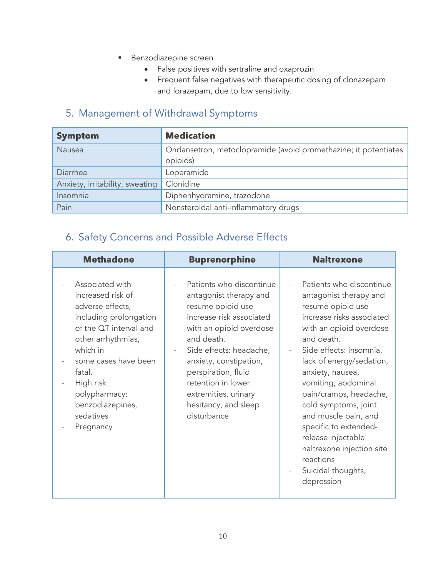- **Benzodiazepine screen** 
	- False positives with sertraline and oxaprozin
	- Frequent false negatives with therapeutic dosing of clonazepam and lorazepam, due to low sensitivity.

## <span id="page-9-0"></span>5. Management of Withdrawal Symptoms

| <b>Symptom</b>                  | <b>Medication</b>                                                           |
|---------------------------------|-----------------------------------------------------------------------------|
| Nausea                          | Ondansetron, metoclopramide (avoid promethazine; it potentiates<br>opioids) |
| Diarrhea                        | Loperamide                                                                  |
| Anxiety, irritability, sweating | Clonidine                                                                   |
| Insomnia                        | Diphenhydramine, trazodone                                                  |
| Pain                            | Nonsteroidal anti-inflammatory drugs                                        |

## <span id="page-9-1"></span>6. Safety Concerns and Possible Adverse Effects

| <b>Methadone</b>                                                                                                                                                                                                                                             | <b>Buprenorphine</b>                                                                                                                                                                                                                                                                                          | <b>Naltrexone</b>                                                                                                                                                                                                                                                                                                                                                                                                                                      |
|--------------------------------------------------------------------------------------------------------------------------------------------------------------------------------------------------------------------------------------------------------------|---------------------------------------------------------------------------------------------------------------------------------------------------------------------------------------------------------------------------------------------------------------------------------------------------------------|--------------------------------------------------------------------------------------------------------------------------------------------------------------------------------------------------------------------------------------------------------------------------------------------------------------------------------------------------------------------------------------------------------------------------------------------------------|
| Associated with<br>increased risk of<br>adverse effects,<br>including prolongation<br>of the QT interval and<br>other arrhythmias,<br>which in<br>some cases have been<br>fatal.<br>High risk<br>polypharmacy:<br>benzodiazepines,<br>sedatives<br>Pregnancy | Patients who discontinue<br>antagonist therapy and<br>resume opioid use<br>increase risk associated<br>with an opioid overdose<br>and death.<br>Side effects: headache,<br>anxiety, constipation,<br>perspiration, fluid<br>retention in lower<br>extremities, urinary<br>hesitancy, and sleep<br>disturbance | Patients who discontinue<br>antagonist therapy and<br>resume opioid use<br>increase risks associated<br>with an opioid overdose<br>and death.<br>Side effects: insomnia,<br>lack of energy/sedation,<br>anxiety, nausea,<br>vomiting, abdominal<br>pain/cramps, headache,<br>cold symptoms, joint<br>and muscle pain, and<br>specific to extended-<br>release injectable<br>naltrexone injection site<br>reactions<br>Suicidal thoughts,<br>depression |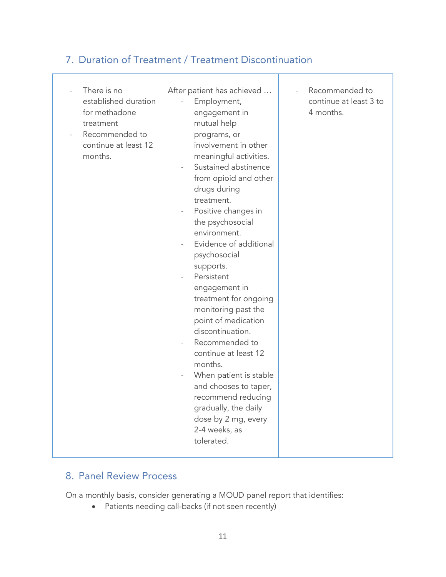## <span id="page-10-0"></span>7. Duration of Treatment / Treatment Discontinuation

| There is no<br>established duration<br>for methadone<br>treatment<br>Recommended to<br>continue at least 12<br>months. | After patient has achieved<br>Employment,<br>engagement in<br>mutual help<br>programs, or<br>involvement in other<br>meaningful activities.<br>Sustained abstinence<br>from opioid and other<br>drugs during<br>treatment.<br>Positive changes in<br>the psychosocial<br>environment.<br>Evidence of additional<br>psychosocial<br>supports.<br>Persistent<br>engagement in<br>treatment for ongoing<br>monitoring past the<br>point of medication<br>discontinuation.<br>Recommended to<br>continue at least 12<br>months.<br>When patient is stable<br>and chooses to taper,<br>recommend reducing<br>gradually, the daily<br>dose by 2 mg, every<br>2-4 weeks, as<br>tolerated. | Recommended to<br>continue at least 3 to<br>4 months. |
|------------------------------------------------------------------------------------------------------------------------|------------------------------------------------------------------------------------------------------------------------------------------------------------------------------------------------------------------------------------------------------------------------------------------------------------------------------------------------------------------------------------------------------------------------------------------------------------------------------------------------------------------------------------------------------------------------------------------------------------------------------------------------------------------------------------|-------------------------------------------------------|
|------------------------------------------------------------------------------------------------------------------------|------------------------------------------------------------------------------------------------------------------------------------------------------------------------------------------------------------------------------------------------------------------------------------------------------------------------------------------------------------------------------------------------------------------------------------------------------------------------------------------------------------------------------------------------------------------------------------------------------------------------------------------------------------------------------------|-------------------------------------------------------|

## <span id="page-10-1"></span>8. Panel Review Process

On a monthly basis, consider generating a MOUD panel report that identifies:

• Patients needing call-backs (if not seen recently)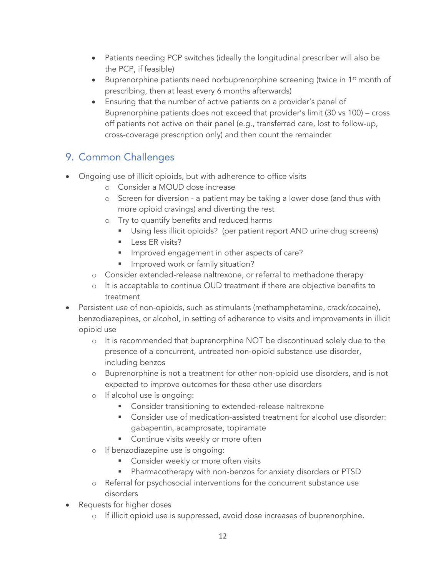- Patients needing PCP switches (ideally the longitudinal prescriber will also be the PCP, if feasible)
- Buprenorphine patients need norbuprenorphine screening (twice in 1<sup>st</sup> month of prescribing, then at least every 6 months afterwards)
- Ensuring that the number of active patients on a provider's panel of Buprenorphine patients does not exceed that provider's limit (30 vs 100) – cross off patients not active on their panel (e.g., transferred care, lost to follow-up, cross-coverage prescription only) and then count the remainder

## <span id="page-11-0"></span>9. Common Challenges

- Ongoing use of illicit opioids, but with adherence to office visits
	- o Consider a MOUD dose increase
	- o Screen for diversion a patient may be taking a lower dose (and thus with more opioid cravings) and diverting the rest
	- o Try to quantify benefits and reduced harms
		- **■** Using less illicit opioids? (per patient report AND urine drug screens)
		- **EXELUTE:** Less ER visits?
		- **IF Improved engagement in other aspects of care?**
		- Improved work or family situation?
	- o Consider extended-release naltrexone, or referral to methadone therapy
	- o It is acceptable to continue OUD treatment if there are objective benefits to treatment
- Persistent use of non-opioids, such as stimulants (methamphetamine, crack/cocaine), benzodiazepines, or alcohol, in setting of adherence to visits and improvements in illicit opioid use
	- o It is recommended that buprenorphine NOT be discontinued solely due to the presence of a concurrent, untreated non-opioid substance use disorder, including benzos
	- o Buprenorphine is not a treatment for other non-opioid use disorders, and is not expected to improve outcomes for these other use disorders
	- o If alcohol use is ongoing:
		- Consider transitioning to extended-release naltrexone
		- Consider use of medication-assisted treatment for alcohol use disorder: gabapentin, acamprosate, topiramate
		- Continue visits weekly or more often
	- o If benzodiazepine use is ongoing:
		- Consider weekly or more often visits
		- Pharmacotherapy with non-benzos for anxiety disorders or PTSD
	- o Referral for psychosocial interventions for the concurrent substance use disorders
- Requests for higher doses
	- o If illicit opioid use is suppressed, avoid dose increases of buprenorphine.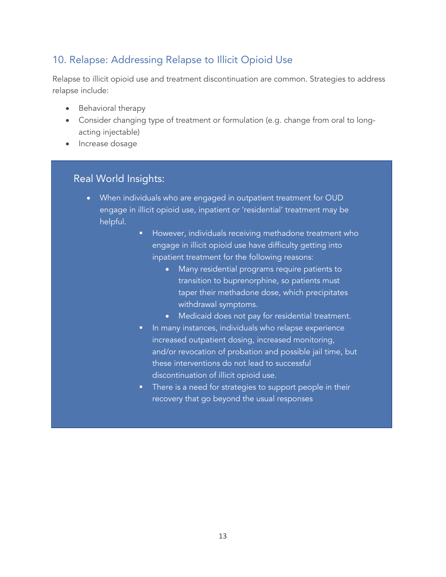## <span id="page-12-0"></span>10. Relapse: Addressing Relapse to Illicit Opioid Use

Relapse to illicit opioid use and treatment discontinuation are common. Strategies to address relapse include:

- Behavioral therapy
- Consider changing type of treatment or formulation (e.g. change from oral to longacting injectable)
- Increase dosage

## Real World Insights:

- <span id="page-12-1"></span>• When individuals who are engaged in outpatient treatment for OUD engage in illicit opioid use, inpatient or 'residential' treatment may be helpful.
	- **E** However, individuals receiving methadone treatment who engage in illicit opioid use have difficulty getting into inpatient treatment for the following reasons:
		- Many residential programs require patients to transition to buprenorphine, so patients must taper their methadone dose, which precipitates withdrawal symptoms.
		- Medicaid does not pay for residential treatment.
	- **•** In many instances, individuals who relapse experience increased outpatient dosing, increased monitoring, and/or revocation of probation and possible jail time, but these interventions do not lead to successful discontinuation of illicit opioid use.
	- **There is a need for strategies to support people in their** recovery that go beyond the usual responses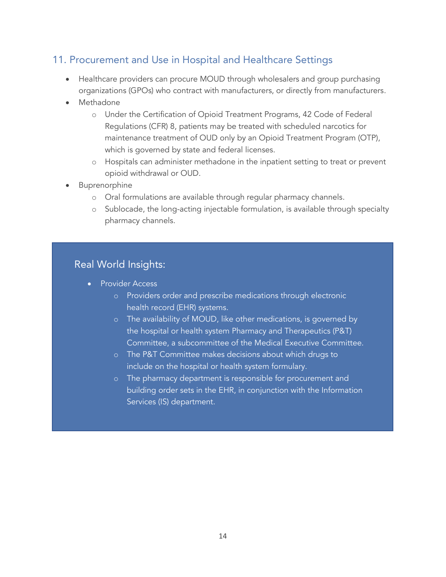## 11. Procurement and Use in Hospital and Healthcare Settings

- Healthcare providers can procure MOUD through wholesalers and group purchasing organizations (GPOs) who contract with manufacturers, or directly from manufacturers.
- **Methadone** 
	- o Under the Certification of Opioid Treatment Programs, 42 Code of Federal Regulations (CFR) 8, patients may be treated with scheduled narcotics for maintenance treatment of OUD only by an Opioid Treatment Program (OTP), which is governed by state and federal licenses.
	- o Hospitals can administer methadone in the inpatient setting to treat or prevent opioid withdrawal or OUD.
- **Buprenorphine** 
	- o Oral formulations are available through regular pharmacy channels.
	- o Sublocade, the long-acting injectable formulation, is available through specialty pharmacy channels.

### Real World Insights:

- Provider Access
	- o Providers order and prescribe medications through electronic health record (EHR) systems.
	- o The availability of MOUD, like other medications, is governed by the hospital or health system Pharmacy and Therapeutics (P&T) Committee, a subcommittee of the Medical Executive Committee.
	- o The P&T Committee makes decisions about which drugs to include on the hospital or health system formulary.
	- o The pharmacy department is responsible for procurement and building order sets in the EHR, in conjunction with the Information Services (IS) department.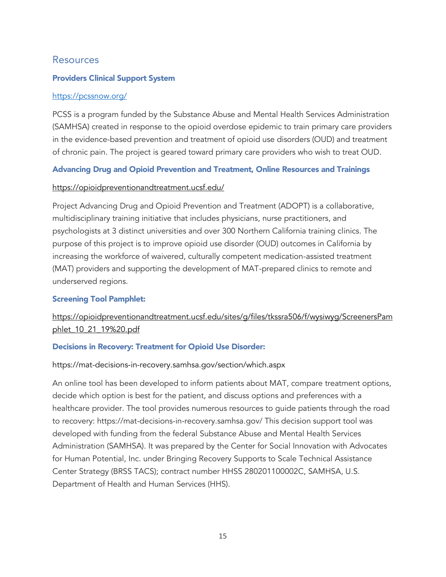### <span id="page-14-0"></span>Resources

#### Providers Clinical Support System

#### <https://pcssnow.org/>

PCSS is a program funded by the Substance Abuse and Mental Health Services Administration (SAMHSA) created in response to the opioid overdose epidemic to train primary care providers in the evidence-based prevention and treatment of opioid use disorders (OUD) and treatment of chronic pain. The project is geared toward primary care providers who wish to treat OUD.

#### Advancing Drug and Opioid Prevention and Treatment, Online Resources and Trainings

#### <https://opioidpreventionandtreatment.ucsf.edu/>

Project Advancing Drug and Opioid Prevention and Treatment (ADOPT) is a collaborative, multidisciplinary training initiative that includes physicians, nurse practitioners, and psychologists at 3 distinct universities and over 300 Northern California training clinics. The purpose of this project is to improve opioid use disorder (OUD) outcomes in California by increasing the workforce of waivered, culturally competent medication-assisted treatment (MAT) providers and supporting the development of MAT-prepared clinics to remote and underserved regions.

#### Screening Tool Pamphlet:

### [https://opioidpreventionandtreatment.ucsf.edu/sites/g/files/tkssra506/f/wysiwyg/ScreenersPam](https://opioidpreventionandtreatment.ucsf.edu/sites/g/files/tkssra506/f/wysiwyg/ScreenersPamphlet_10_21_19%20.pdf) phlet 10\_21\_19%20.pdf

#### Decisions in Recovery: Treatment for Opioid Use Disorder:

#### https://mat-decisions-in-recovery.samhsa.gov/section/which.aspx

An online tool has been developed to inform patients about MAT, compare treatment options, decide which option is best for the patient, and discuss options and preferences with a healthcare provider. The tool provides numerous resources to guide patients through the road to recovery: https://mat-decisions-in-recovery.samhsa.gov/ This decision support tool was developed with funding from the federal Substance Abuse and Mental Health Services Administration (SAMHSA). It was prepared by the Center for Social Innovation with Advocates for Human Potential, Inc. under Bringing Recovery Supports to Scale Technical Assistance Center Strategy (BRSS TACS); contract number HHSS 280201100002C, SAMHSA, U.S. Department of Health and Human Services (HHS).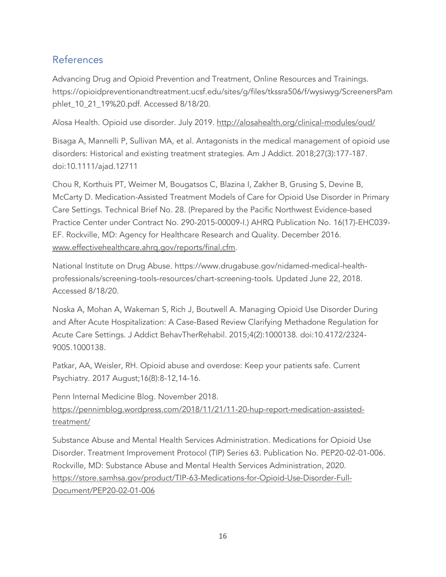## <span id="page-15-0"></span>References

Advancing Drug and Opioid Prevention and Treatment, Online Resources and Trainings. https://opioidpreventionandtreatment.ucsf.edu/sites/g/files/tkssra506/f/wysiwyg/ScreenersPam phlet\_10\_21\_19%20.pdf. Accessed 8/18/20.

Alosa Health. Opioid use disorder. July 2019.<http://alosahealth.org/clinical-modules/oud/>

Bisaga A, Mannelli P, Sullivan MA, et al. Antagonists in the medical management of opioid use disorders: Historical and existing treatment strategies. Am J Addict. 2018;27(3):177-187. doi:10.1111/ajad.12711

Chou R, Korthuis PT, Weimer M, Bougatsos C, Blazina I, Zakher B, Grusing S, Devine B, McCarty D. Medication-Assisted Treatment Models of Care for Opioid Use Disorder in Primary Care Settings. Technical Brief No. 28. (Prepared by the Pacific Northwest Evidence-based Practice Center under Contract No. 290-2015-00009-I.) AHRQ Publication No. 16(17)-EHC039- EF. Rockville, MD: Agency for Healthcare Research and Quality. December 2016. [www.effectivehealthcare.ahrq.gov/reports/final.cfm.](http://www.effectivehealthcare.ahrq.gov/reports/final.cfm)

National Institute on Drug Abuse. https://www.drugabuse.gov/nidamed-medical-healthprofessionals/screening-tools-resources/chart-screening-tools. Updated June 22, 2018. Accessed 8/18/20.

Noska A, Mohan A, Wakeman S, Rich J, Boutwell A. Managing Opioid Use Disorder During and After Acute Hospitalization: A Case-Based Review Clarifying Methadone Regulation for Acute Care Settings. J Addict BehavTherRehabil. 2015;4(2):1000138. doi:10.4172/2324- 9005.1000138.

Patkar, AA, Weisler, RH. Opioid abuse and overdose: Keep your patients safe. Current Psychiatry. 2017 August;16(8):8-12,14-16.

Penn Internal Medicine Blog. November 2018. [https://pennimblog.wordpress.com/2018/11/21/11-20-hup-report-medication-assisted](https://pennimblog.wordpress.com/2018/11/21/11-20-hup-report-medication-assisted-treatment/)[treatment/](https://pennimblog.wordpress.com/2018/11/21/11-20-hup-report-medication-assisted-treatment/)

Substance Abuse and Mental Health Services Administration. Medications for Opioid Use Disorder. Treatment Improvement Protocol (TIP) Series 63. Publication No. PEP20-02-01-006. Rockville, MD: Substance Abuse and Mental Health Services Administration, 2020. [https://store.samhsa.gov/product/TIP-63-Medications-for-Opioid-Use-Disorder-Full-](https://store.samhsa.gov/product/TIP-63-Medications-for-Opioid-Use-Disorder-Full-Document/PEP20-02-01-006)[Document/PEP20-02-01-006](https://store.samhsa.gov/product/TIP-63-Medications-for-Opioid-Use-Disorder-Full-Document/PEP20-02-01-006)